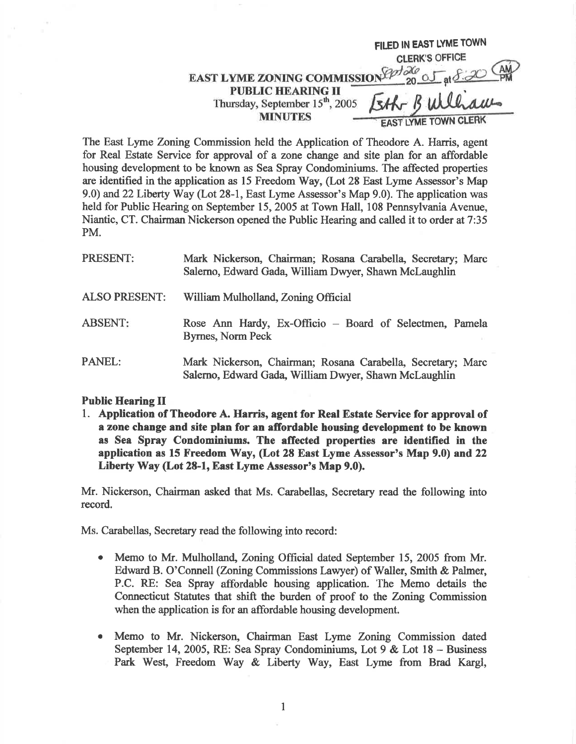FILED IN EAST LYME TOWN<br>CLERK'S OFFICE EAST LYME ZONING COMMISSION Code  $200$   $\overline{5}$  at  $\overline{5}$   $\overline{20}$ **PUBLIC HEARING II** Thursday, September 15<sup>th</sup>, 2005 **MINUTES EAST LYME TOWN CLERK** 

The East Lyme Zoning Commission held the Application of Theodore A. Harris, agent for Real Estate Service for approval of a zone change and site plan for an affordable housing development to be known as Sea Spray Condominiums. The affected properties are identified in the application as 15 Freedom Wuy, (Lot 28 East Lyme Assessor's Map 9.0) and 22Liberty Way (Lot 28-1, East Lyme Assessor's Map 9.0). The application was held for Public Hearing on September 15, 2005 at Town Hall, 108 Pennsylvania Avenue, Niantic, CT. Chairman Nickerson opened the Public Hearing and called it to order at 7:35 PM.

| PRESENT:             | Mark Nickerson, Chairman; Rosana Carabella, Secretary; Marc<br>Salerno, Edward Gada, William Dwyer, Shawn McLaughlin |
|----------------------|----------------------------------------------------------------------------------------------------------------------|
| <b>ALSO PRESENT:</b> | William Mulholland, Zoning Official                                                                                  |
| <b>ABSENT:</b>       | Rose Ann Hardy, Ex-Officio – Board of Selectmen, Pamela<br><b>Byrnes, Norm Peck</b>                                  |
| <b>PANEL:</b>        | Mark Nickerson, Chairman; Rosana Carabella, Secretary; Marc<br>Salerno, Edward Gada, William Dwyer, Shawn McLaughlin |

## Public Hearing II

1. Application of Theodore A. Harris, agent for Real Estate Service for approval of a zone change and site plan for an afiordable housing development to be known as Sea Spray Condominiums. The afTected properties are identified in the application as 15 Freedom ky, (Lot 2E East Lyme Assessor's Map 9.0) and 22 Liberty Way (Lot 28-1, East Lyme Assessor's Map 9.0).

Mr. Nickerson, Chairman asked that Ms. Carabellas, Secretary read the following into record.

Ms. Carabellas, Secretary read the following into record:

- Memo to Mr. Mulholland, Zoning Official dated September 15, 2005 from Mr. Edward B. O'Connell (Zoning Commissions Lawyer) of Waller, Smith & Palmer, P.C. RE: Sea Spray affordable housing application. The Memo details the Connecticut Statutes that shift the burden of proof to the Zoning Commission when the application is for an affordable housing development. o
- Memo to Mr. Nickerson, Chairman East Lyme Zoning Commission dated September 14, 2005, RE: Sea Spray Condominiums, Lot  $9 \&$  Lot  $18 -$  Business Park West, Freedom Way & Liberty Way, East Lyme from Brad Kargl, o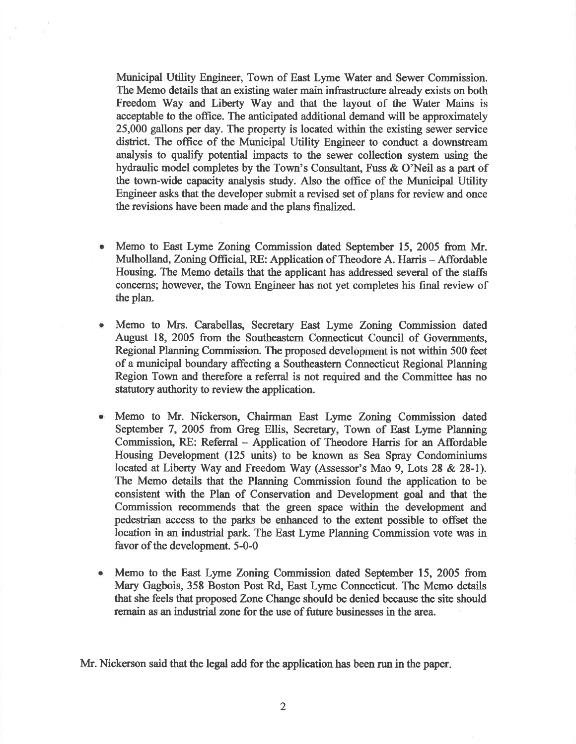Municipal Utility Engineer, Town of East Lyme Water and Sewer Commission. The Memo details that an existing water main infrastructure already exists on both Freedom Way and Liberty Way and that the layout of the Water Mains is acceptable to the office. The anticipated additional demand will be approximately 25,000 gallons per day. The property is located within the existing sewer service distict. The office of the Municipal Utility Engineer to conduct a downstream analysis to qualify potential impacts to the sewer collection system using the hydraulic model completes by the Town's Consultant, Fuss & O'Neil as a part of the town-wide capacity analysis study. Also the office of the Municipal Utility Engineer asks that the developer submit a revised set of plans for review and once the revisions have been made and the plans finalized.

- Memo to East Lyme Zoning Commission dated September 15, 2005 from Mr. Mulholland, Zoning Official, RE: Application of Theodore A. Harris - Affordable Housing. The Memo details that the applicant has addressed several of the staffs concems; however, the Town Engineer has not yet completes his final review of the plan.
- Memo to Mrs. Carabellas, Secretary East Lyme Zoning Commission dated August 18, 2005 from the Southeastern Connecticut Council of Governments, Regional Planning Commission. The proposed development is not within 500 feet of a municipal boundary affecting a Southeastern Connecticut Regional Planning Region Town and therefore a referral is not required and the Committee has no statutory authority to review the application. O
- $\bullet$ Memo to Mr. Nickerson, Chairman East Lyme Zoning Commission dated September 7, 2005 from Greg Ellis, Secretary, Town of East Lyme Planning Commission, RE: Referral - Application of Theodore Harris for an Affordable Housing Development (125 units) to be known as Sea Spray Condominiums located at Liberty Way and Freedom Way (Assessor's Mao 9, Lots 28 & 28-l). The Memo details that the Planning Commission found the application to be consistent with the Plan of Conservation and Development goal and that the Commission recommends that the green space within the development and pedeshian access to the parks be enhanced to the extent possible to offset the location in an industrial park. The East Lyme Planning Commission vote was in favor of the development. 5-0-0
- Memo to the East Lyme Zoning Commission dated September 15, 2005 from Mary Gagbois, 358 Boston Post Rd, East Lyme Connecticut. The Memo details that she feels that proposed Zone Change should be denied because the site should remain as an industrial zone for the use of future businesses in the area. o

Mr. Nickerson said that the legal add for the application has been run in the paper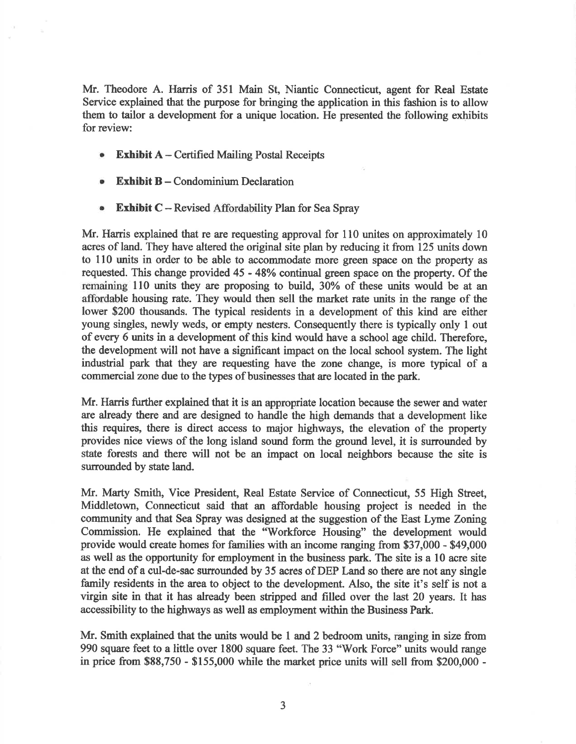Mr. Theodore A. Harris of 351 Main St, Niantic Connecticut, agent for Real Estate Service explained that the purpose for bringing the application in this fashion is to allow them to tailor a development for a unique location. He presented the following exhibits for review:

- $\bullet$ **Exhibit A** – Certified Mailing Postal Receipts
- Exhibit  $B -$  Condominium Declaration a
- **Exhibit C** Revised Affordability Plan for Sea Spray ۰

Mr. Harris explained that re are requesting approval for 110 unites on approximately 10 acres of land. They have altered the original site plan by reducing it from 125 units down to 110 units in order to be able to accommodate more green space on the property as requested. This change provided 45 - 48% continual green space on the property. Of the remaining 110 units they are proposing to build, 30% of these units would be at an affordable housing rate. They would then sell the market rate units in the range of the lower \$200 thousands. The typical residents in a development of this kind are either young singles, newly weds, or empty nesters. Consequently there is typically only I out of every 6 units in a development of this kind would have a school age child. Therefore, the development will not have a significant impact on the local school system. The light industrial park that they are requesting have the zone change, is more typical of a commercial zone due to the types of businesses that are located in the park.

Mr. Harris further explained that it is an appropriate location because the sewer and water are already there and are designed to handle the high demands that a development like this requires, there is direct access to major highways, the elevation of the property provides nice views of the long island sound form the ground level, it is surrounded by state forests and there will not be an impact on local neighbors because the site is surrounded by state land.

Mr. Marty Smith, Vice President, Real Estate Service of Connecticut, 55 High Street, Middletown, Connecticut said that an affordable housing project is needed in the community and that Sea Spray was designed at the suggestion of the East Lyme Zoning Commission. He explained that the "Workforce Housing" the development would provide would create homes for farnilies with an income ranging from \$37,000 - \$49,000 as well as the opportunity for employment in the business park. The site is a 10 acre site at the end of a cul-de-sac surrounded by 35 acres of DEP Land so there are not any single family residents in the area to object to the development. Also, the site it's self is not a virgin site in that it has already been sfripped and filled over the last 20 years. It has accessibility to the highways as well as employment within the Business Park.

Mr. Smith explained that the units would be 1 and 2 bedroom units, ranging in size from 990 square feet to a little over 1800 square feet. The 33 "Work Force" units would range in price from \$88,750 - \$155,000 while the market price units will sell from \$200,000 -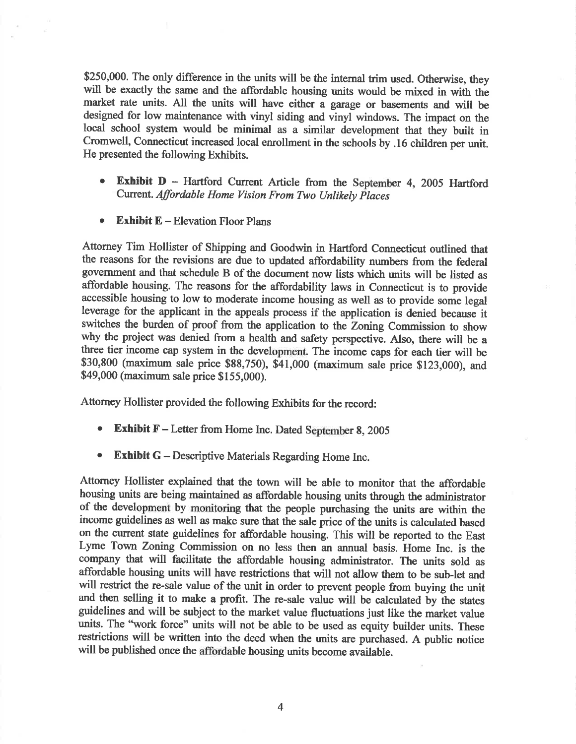\$250,000. The only difference in the units will be the internal trim used. Otherwise, they will be exactly the same and the affordable housing units would be mixed in with the market rate units. All the units will have either a garage or basements and will be designed for low maintenance with vinyl siding and vinyl windows. The impact on the local school system would be minimal as a similar development that they built in Cromwell, Connecticut inoreased local enrollment in the schools by .16 children per unit. He presented the following Exhibits.

- Exhibit  $D$  Hartford Current Article from the September 4, 2005 Hartford Current. Affordable Home Vision From Two Unlikely places a
- **Exhibit E** Elevation Floor Plans a

Attorney Tim Hollister of Shipping and Goodwin in Hartford Connecticut outlined that the reasons for the revisions are due to updated affordability numbers from the federal government and that schedule B of the docurnent now lists which units will be listed as affordable housing. The reasons for the affordability laws in Connecticut is to provide accessible housing to low to moderate income housing as well as to provide some legal leverage for the applicant in the appeals process if the application is denied because it switches the burden of proof from the application to the Zoning Commission to show why the project was denied from a health and safety perspective. Also, there will be <sup>a</sup> three tier income cap system in the development. The income caps for each tier will be \$30,800 (maximum sale price \$88,750), \$41,000 (maximum sale price \$123,000), and \$49,000 (maximum sale price \$155,000).

Attorney Hollister provided the following Exhibits for the record:

- **Exhibit F** Letter from Home Inc. Dated September 8, 2005
- Exhibit  $G$  Descriptive Materials Regarding Home Inc.

Attorney Hollister explained that the town will be able to monitor that the affordable housing units are being maintained as affordable housing units through the administator of the development by monitoring that the people purchasing the units are within the income guidelines as well as make sure that the sale price of the units is calculated based on the current state guidelines for affordable housing. This will be reported to the East Lyme Town Zoning Commission on no less then an annual basis. Home Inc. is the company that will facilitate the affordable housing administrator. The units sold as affordable housing units will have restrictions that will not allow them to be sub-let and will restrict the re-sale value of the unit in order to prevent people from buying the unit and then selling it to make a profit. The re-sale value will be calculated by the states guidelines and will be subject to the market value fluctuations just like the market value units. The "work force" units will not be able to be used as equity builder units. These restrictions will be written into the deed when the units are purchased. A public notice will be published once the affordable housing units become available.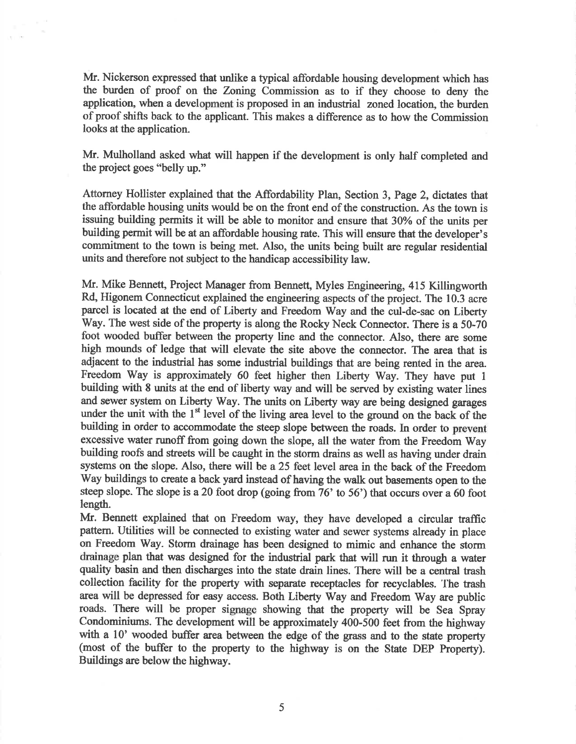Mr. Nickerson expressed that unlike a typical affordable housing development which has the burden of proof on the Zonng Commission as to if they choose to deny the application, when a development is proposed in an industrial zoned location, the burden of proof shifts back to the applicant. This makes a difference as to how the Commission looks at the application.

Mr. Mulholland asked what will happen if the development is only half completed and the project goes "belly up."

Attorney Hollister explained that the Affordability Plan, Section 3, Page 2, dictates that the affordable housing units would be on the front end of the construction. As the town is issuing building permits it will be able to monitor and ensure that 30% of the units per building permit will be at an affordable housing rate. This will ensure that the developer's commitment to the town is being met. Also, the units being built are regular residential units and therefore not subject to the handicap accessibility law.

Mr. Mike Bennett, Project Manager from Bennett, Myles Engineering, 415 Killingworth Rd, Higonem Connecticut explained the engineering aspects of the project. The 10.3 acre parcel is located at the end of Liberty and Freedom Way and the cul-de-sac on Liberty Way. The west side of the property is along the Rocky Neck Connector. There is a 50-70 foot wooded buffer between the properfy line and the connector. Also, there are some high mounds of ledge that will elevate the site above the connector. The area that is adjacent to the industrial has some industrial buildings that are being rented in the area. Freedom Way is approximately 60 feet higher then Liberty Way. They have put I building with 8 units at the end of liberty way and will be served by existing water lines and sewer system on Liberty Way. The units on Liberty way are being designed garages under the unit with the 1<sup>st</sup> level of the living area level to the ground on the back of the building in order to accommodate the steep slope between the roads. In order to prevent excessive water runoff from going down the slope, all the water from the Freedom Way building roofs and streets will be caught in the storm drains as well as having under drain systems on the slope. Also, there will be a25 feet level area in the back of the Freedom Way buildings to create a back yard instead of having the walk out basements open to the steep slope. The slope is a 20 foot drop (going from 76' to 56') that occurs over a 60 foot length.

Mr. Bennett explained that on Freedom way, they have developed a circular traffic pattem. Utilities will be connected to existing water and sewer systems already in place on Freedom Way. Storm drainage has been designed to mimic and enhance the storm drainage plan that was designed for the industrial park that will run it through a water quality basin and then discharges into the state drain lines. There will be a central trash collection facility for the property with separate receptacles for recyclables. The trash area will be depressed for easy access. Both Liberty Way and Freedom Way are public roads. There will be proper signage showing that the property will be Sea Spray Condominiums. The development will be approximately 400-500 feet from the highway with a 10' wooded buffer area between the edge of the grass and to the state property (most of the buffer to the property to the highway is on the State DEP Property). Buildings are below the highway.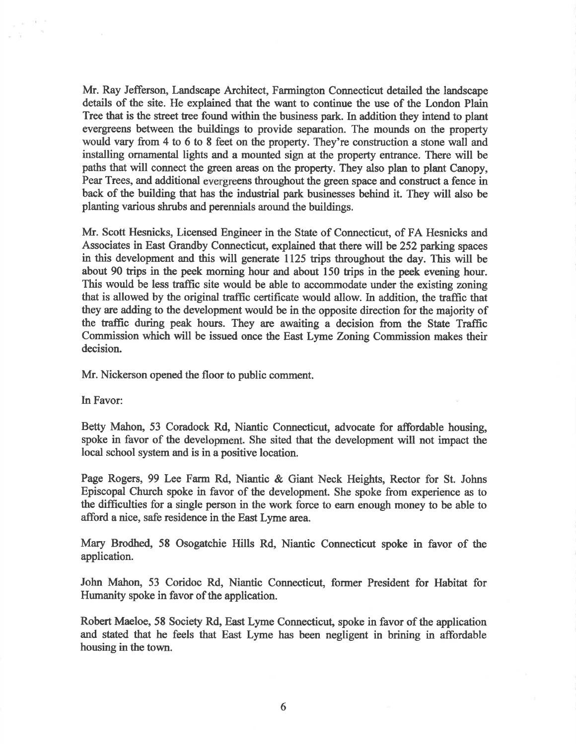Mr. Ray Jefferson, Landscape Architect, Farmington Connecticut detailed the landscape details of the site. He explained that the want to continue the use of the London Plain Tree that is the street tree found within the business park. In addition they intend to plant evergreens between the buildings to provide separation. The mounds on the property would vary from 4 to 6 to 8 feet on the properfy. They're construction a stone wall and installing ornamental lights and a mounted sign at the property entrance. There will be paths that will connect the green areas on the property. They also plan to plant Canopy, Pear Trees, and additional evergreens throughout the green space and construct a fence in back of the building that has the industial park businesses behind it. They will also be planting various shrubs and perennials around the buildings.

Mr. Scott Hesnicks, Licensed Engineer in the State of Connecticut, of FA Hesnicks and Associates in East Grandby Connecticut, explained that there will be 252 parking spaces in this development and this will generate 1125 trips throughout the day. This will be about 90 trips in the peek morning hour and about 150 trips in the peek evening hour. This would be less traffic site would be able to accommodate under the existing zoning that is allowed by the original traffic certificate would allow. In addition, the traffic that they are adding to the development would be in the opposite direction for the majority of the traffic during peak hours. They are awaiting a decision from the State Traffic Commission which will be issued once the East Lyme Zoning Commission makes their decision.

Mr. Nickerson opened the floor to public comment.

In Favor:

 $\sim$  100

Betty Mahon, 53 Coradock Rd, Niantic Connecticut, advocate for affordable housing, spoke in favor of the development. She sited that the development will not impact the local school system and is in a positive location.

Page Rogers, 99 Lee Farm Rd, Niantic & Giant Neck Heights, Rector for St. Johns Episcopal Church spoke in favor of the development. She spoke from experience as to the difficulties for a single person in the work force to earn enough money to be able to afford a nice, safe residence in the East Lyme area.

Mary Brodhed, 58 Osogatchie Hills Rd, Niantic Connecticut spoke in favor of the application.

John Mahon, 53 Coridoc Rd, Niantic Connecticut, former President for Habitat for Humanity spoke in favor of the application.

Robert Maeloe, 58 Society Rd, East Lyme Connecticut, spoke in favor of the application and stated that he feels that East Lyme has been negligent in brining in affordable housing in the town.